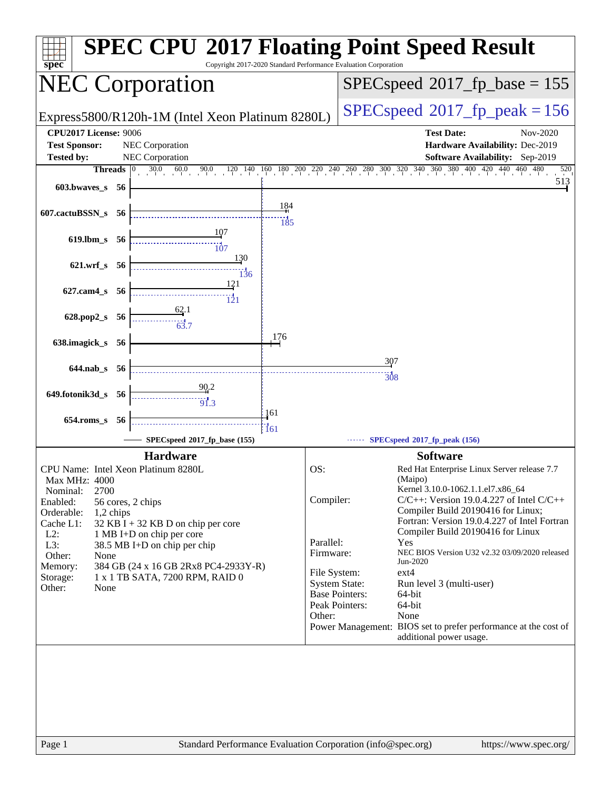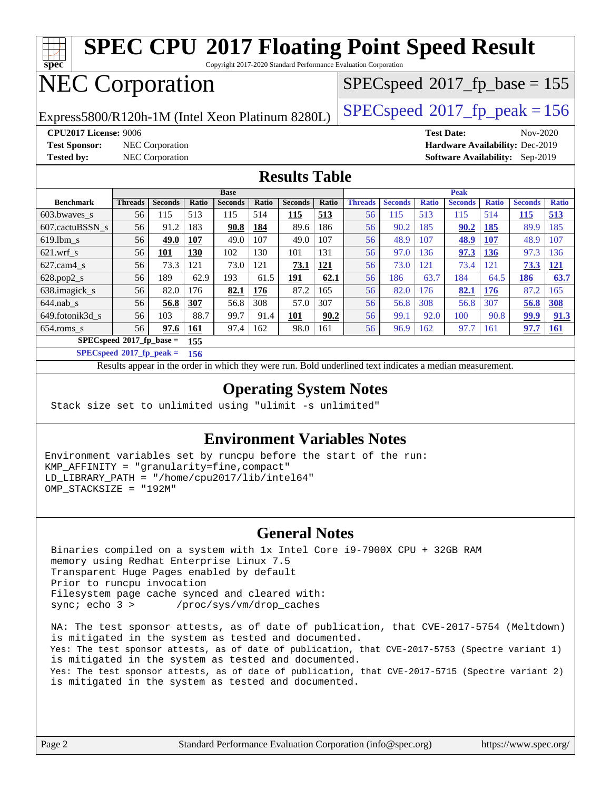

Copyright 2017-2020 Standard Performance Evaluation Corporation

# NEC Corporation

 $SPEC speed$ <sup>®</sup> $2017$ \_fp\_base = 155

Express5800/R120h-1M (Intel Xeon Platinum 8280L)  $\left|$  [SPECspeed](http://www.spec.org/auto/cpu2017/Docs/result-fields.html#SPECspeed2017fppeak)®[2017\\_fp\\_peak = 1](http://www.spec.org/auto/cpu2017/Docs/result-fields.html#SPECspeed2017fppeak)56

**[Test Sponsor:](http://www.spec.org/auto/cpu2017/Docs/result-fields.html#TestSponsor)** NEC Corporation **[Hardware Availability:](http://www.spec.org/auto/cpu2017/Docs/result-fields.html#HardwareAvailability)** Dec-2019

**[CPU2017 License:](http://www.spec.org/auto/cpu2017/Docs/result-fields.html#CPU2017License)** 9006 **[Test Date:](http://www.spec.org/auto/cpu2017/Docs/result-fields.html#TestDate)** Nov-2020 **[Tested by:](http://www.spec.org/auto/cpu2017/Docs/result-fields.html#Testedby)** NEC Corporation **[Software Availability:](http://www.spec.org/auto/cpu2017/Docs/result-fields.html#SoftwareAvailability)** Sep-2019

#### **[Results Table](http://www.spec.org/auto/cpu2017/Docs/result-fields.html#ResultsTable)**

|                                   | <b>Base</b>    |                |       |                |       | <b>Peak</b>    |       |                |                |              |                |              |                |              |
|-----------------------------------|----------------|----------------|-------|----------------|-------|----------------|-------|----------------|----------------|--------------|----------------|--------------|----------------|--------------|
| <b>Benchmark</b>                  | <b>Threads</b> | <b>Seconds</b> | Ratio | <b>Seconds</b> | Ratio | <b>Seconds</b> | Ratio | <b>Threads</b> | <b>Seconds</b> | <b>Ratio</b> | <b>Seconds</b> | <b>Ratio</b> | <b>Seconds</b> | <b>Ratio</b> |
| 603.bwayes s                      | 56             | 115            | 513   | 115            | 514   | 115            | 513   | 56             | 115            | 513          | 115            | 514          | <u> 115</u>    | 513          |
| 607.cactuBSSN s                   | 56             | 91.2           | 183   | 90.8           | 184   | 89.6           | 186   | 56             | 90.2           | 185          | 90.2           | 185          | 89.9           | 185          |
| $619.$ lbm s                      | 56             | 49.0           | 107   | 49.0           | 107   | 49.0           | 107   | 56             | 48.9           | 107          | 48.9           | 107          | 48.9           | 107          |
| $621.wrf$ s                       | 56             | 101            | 130   | 102            | 130   | 101            | 131   | 56             | 97.0           | 36           | 97.3           | 136          | 97.3           | <b>36</b>    |
| $627$ .cam $4$ <sub>s</sub>       | 56             | 73.3           | 121   | 73.0           | 121   | 73.1           | 121   | 56             | 73.0           | 121          | 73.4           | 121          | 73.3           | 121          |
| $628.pop2_s$                      | 56             | 189            | 62.9  | 193            | 61.5  | 191            | 62.1  | 56             | 186            | 63.7         | 184            | 64.5         | 186            | 63.7         |
| 638.imagick_s                     | 56             | 82.0           | 176   | 82.1           | 176   | 87.2           | 165   | 56             | 82.0           | 176          | 82.1           | 176          | 87.2           | 165          |
| $644$ .nab s                      | 56             | 56.8           | 307   | 56.8           | 308   | 57.0           | 307   | 56             | 56.8           | 308          | 56.8           | 307          | 56.8           | 308          |
| 649.fotonik3d s                   | 56             | 103            | 88.7  | 99.7           | 91.4  | 101            | 90.2  | 56             | 99.1           | 92.0         | 100            | 90.8         | 99.9           | 91.3         |
| $654$ .roms s                     | 56             | 97.6           | 161   | 97.4           | 162   | 98.0           | 161   | 56             | 96.9           | 162          | 97.7           | 161          | 97.7           | <b>161</b>   |
| $SPECspeed*2017$ fp base =<br>155 |                |                |       |                |       |                |       |                |                |              |                |              |                |              |

**[SPECspeed](http://www.spec.org/auto/cpu2017/Docs/result-fields.html#SPECspeed2017fppeak)[2017\\_fp\\_peak =](http://www.spec.org/auto/cpu2017/Docs/result-fields.html#SPECspeed2017fppeak) 156**

Results appear in the [order in which they were run.](http://www.spec.org/auto/cpu2017/Docs/result-fields.html#RunOrder) Bold underlined text [indicates a median measurement](http://www.spec.org/auto/cpu2017/Docs/result-fields.html#Median).

### **[Operating System Notes](http://www.spec.org/auto/cpu2017/Docs/result-fields.html#OperatingSystemNotes)**

Stack size set to unlimited using "ulimit -s unlimited"

### **[Environment Variables Notes](http://www.spec.org/auto/cpu2017/Docs/result-fields.html#EnvironmentVariablesNotes)**

Environment variables set by runcpu before the start of the run: KMP\_AFFINITY = "granularity=fine,compact" LD\_LIBRARY\_PATH = "/home/cpu2017/lib/intel64" OMP\_STACKSIZE = "192M"

#### **[General Notes](http://www.spec.org/auto/cpu2017/Docs/result-fields.html#GeneralNotes)**

 Binaries compiled on a system with 1x Intel Core i9-7900X CPU + 32GB RAM memory using Redhat Enterprise Linux 7.5 Transparent Huge Pages enabled by default Prior to runcpu invocation Filesystem page cache synced and cleared with: sync; echo 3 > /proc/sys/vm/drop caches

 NA: The test sponsor attests, as of date of publication, that CVE-2017-5754 (Meltdown) is mitigated in the system as tested and documented. Yes: The test sponsor attests, as of date of publication, that CVE-2017-5753 (Spectre variant 1) is mitigated in the system as tested and documented. Yes: The test sponsor attests, as of date of publication, that CVE-2017-5715 (Spectre variant 2) is mitigated in the system as tested and documented.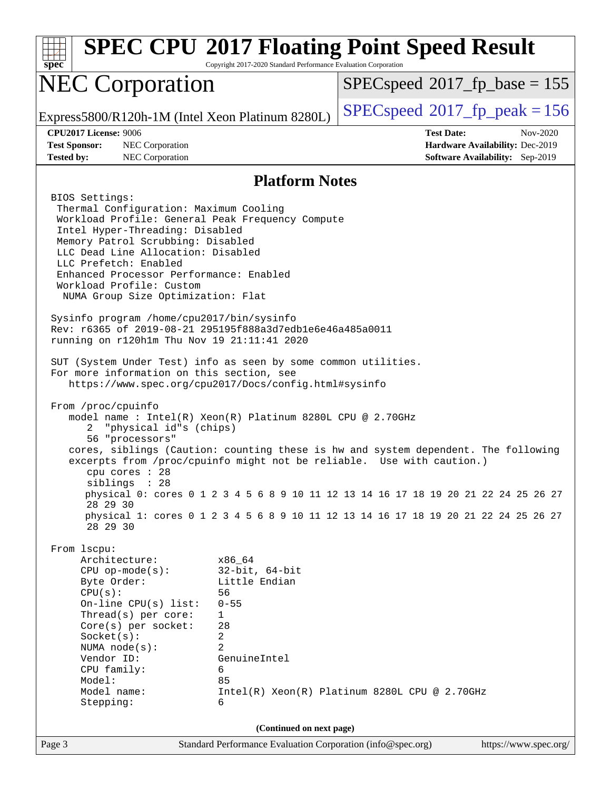| spec                                                                                                                                                                                                                                                                                                                                                                                                                                                                                                                                                                                                                                                                                                                                                                                                                                                                                                 | Copyright 2017-2020 Standard Performance Evaluation Corporation                                                                     | <b>SPEC CPU®2017 Floating Point Speed Result</b>                                                                                                                                                                                                                                                                                          |  |  |  |
|------------------------------------------------------------------------------------------------------------------------------------------------------------------------------------------------------------------------------------------------------------------------------------------------------------------------------------------------------------------------------------------------------------------------------------------------------------------------------------------------------------------------------------------------------------------------------------------------------------------------------------------------------------------------------------------------------------------------------------------------------------------------------------------------------------------------------------------------------------------------------------------------------|-------------------------------------------------------------------------------------------------------------------------------------|-------------------------------------------------------------------------------------------------------------------------------------------------------------------------------------------------------------------------------------------------------------------------------------------------------------------------------------------|--|--|--|
| <b>NEC Corporation</b>                                                                                                                                                                                                                                                                                                                                                                                                                                                                                                                                                                                                                                                                                                                                                                                                                                                                               |                                                                                                                                     | $SPEC speed^{\circ}2017$ fp base = 155                                                                                                                                                                                                                                                                                                    |  |  |  |
| Express5800/R120h-1M (Intel Xeon Platinum 8280L)                                                                                                                                                                                                                                                                                                                                                                                                                                                                                                                                                                                                                                                                                                                                                                                                                                                     |                                                                                                                                     | $SPEC speed^{\circ}2017$ fp peak = 156                                                                                                                                                                                                                                                                                                    |  |  |  |
| <b>CPU2017 License: 9006</b><br><b>Test Sponsor:</b><br>NEC Corporation<br><b>Tested by:</b><br>NEC Corporation                                                                                                                                                                                                                                                                                                                                                                                                                                                                                                                                                                                                                                                                                                                                                                                      |                                                                                                                                     | <b>Test Date:</b><br>Nov-2020<br>Hardware Availability: Dec-2019<br><b>Software Availability:</b> Sep-2019                                                                                                                                                                                                                                |  |  |  |
|                                                                                                                                                                                                                                                                                                                                                                                                                                                                                                                                                                                                                                                                                                                                                                                                                                                                                                      | <b>Platform Notes</b>                                                                                                               |                                                                                                                                                                                                                                                                                                                                           |  |  |  |
| BIOS Settings:<br>Thermal Configuration: Maximum Cooling<br>Workload Profile: General Peak Frequency Compute<br>Intel Hyper-Threading: Disabled<br>Memory Patrol Scrubbing: Disabled<br>LLC Dead Line Allocation: Disabled<br>LLC Prefetch: Enabled<br>Enhanced Processor Performance: Enabled<br>Workload Profile: Custom<br>NUMA Group Size Optimization: Flat<br>Sysinfo program /home/cpu2017/bin/sysinfo<br>Rev: r6365 of 2019-08-21 295195f888a3d7edble6e46a485a0011<br>running on r120h1m Thu Nov 19 21:11:41 2020<br>SUT (System Under Test) info as seen by some common utilities.<br>For more information on this section, see<br>https://www.spec.org/cpu2017/Docs/config.html#sysinfo<br>From /proc/cpuinfo<br>model name: $Intel(R)$ Xeon(R) Platinum 8280L CPU @ 2.70GHz<br>"physical id"s (chips)<br>2.<br>56 "processors"<br>cpu cores : 28<br>siblings : 28<br>28 29 30<br>28 29 30 |                                                                                                                                     | cores, siblings (Caution: counting these is hw and system dependent. The following<br>excerpts from /proc/cpuinfo might not be reliable. Use with caution.)<br>physical 0: cores 0 1 2 3 4 5 6 8 9 10 11 12 13 14 16 17 18 19 20 21 22 24 25 26 27<br>physical 1: cores 0 1 2 3 4 5 6 8 9 10 11 12 13 14 16 17 18 19 20 21 22 24 25 26 27 |  |  |  |
| From 1scpu:<br>Architecture:<br>$CPU$ op-mode( $s$ ):<br>Byte Order:<br>CPU(s):<br>On-line CPU(s) list:<br>Thread(s) per core:<br>Core(s) per socket:<br>Socket(s):<br>NUMA $node(s):$<br>Vendor ID:<br>CPU family:<br>Model:<br>Model name:<br>Stepping:                                                                                                                                                                                                                                                                                                                                                                                                                                                                                                                                                                                                                                            | x86_64<br>$32$ -bit, $64$ -bit<br>Little Endian<br>56<br>$0 - 55$<br>1<br>28<br>2<br>$\overline{2}$<br>GenuineIntel<br>6<br>85<br>6 | $Intel(R) Xeon(R) Platinum 8280L CPU @ 2.70GHz$                                                                                                                                                                                                                                                                                           |  |  |  |
| Page 3                                                                                                                                                                                                                                                                                                                                                                                                                                                                                                                                                                                                                                                                                                                                                                                                                                                                                               | (Continued on next page)<br>Standard Performance Evaluation Corporation (info@spec.org)                                             | https://www.spec.org/                                                                                                                                                                                                                                                                                                                     |  |  |  |
|                                                                                                                                                                                                                                                                                                                                                                                                                                                                                                                                                                                                                                                                                                                                                                                                                                                                                                      |                                                                                                                                     |                                                                                                                                                                                                                                                                                                                                           |  |  |  |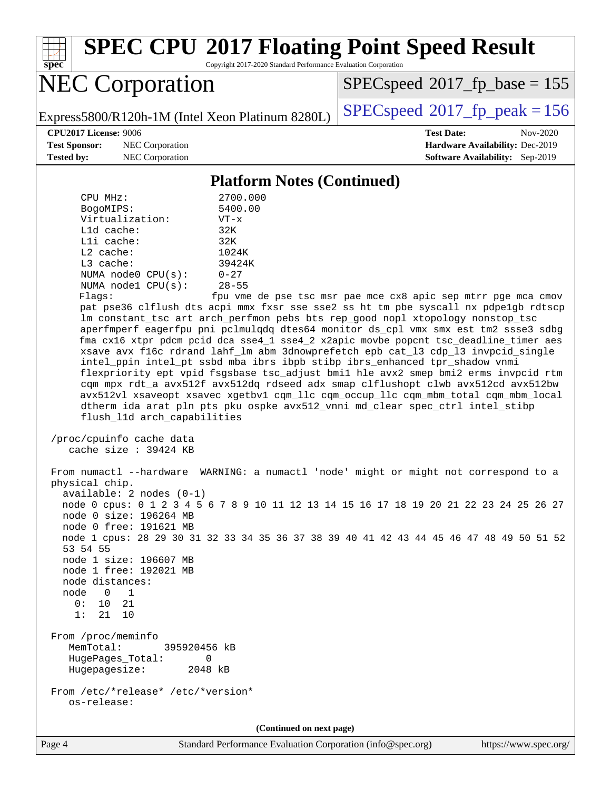

Copyright 2017-2020 Standard Performance Evaluation Corporation

# NEC Corporation

 $SPECspeed*2017_fp\_base = 155$  $SPECspeed*2017_fp\_base = 155$ 

Express5800/R120h-1M (Intel Xeon Platinum 8280L)  $\left|$  [SPECspeed](http://www.spec.org/auto/cpu2017/Docs/result-fields.html#SPECspeed2017fppeak)<sup>®</sup>[2017\\_fp\\_peak = 1](http://www.spec.org/auto/cpu2017/Docs/result-fields.html#SPECspeed2017fppeak)56

**[Test Sponsor:](http://www.spec.org/auto/cpu2017/Docs/result-fields.html#TestSponsor)** NEC Corporation **[Hardware Availability:](http://www.spec.org/auto/cpu2017/Docs/result-fields.html#HardwareAvailability)** Dec-2019 **[Tested by:](http://www.spec.org/auto/cpu2017/Docs/result-fields.html#Testedby)** NEC Corporation **[Software Availability:](http://www.spec.org/auto/cpu2017/Docs/result-fields.html#SoftwareAvailability)** Sep-2019

**[CPU2017 License:](http://www.spec.org/auto/cpu2017/Docs/result-fields.html#CPU2017License)** 9006 **[Test Date:](http://www.spec.org/auto/cpu2017/Docs/result-fields.html#TestDate)** Nov-2020

#### **[Platform Notes \(Continued\)](http://www.spec.org/auto/cpu2017/Docs/result-fields.html#PlatformNotes)**

| CPU MHz:                                                                                                                                                                                                                                                                                                                                                                                                                                                                                                                                                                                                                                                                                                                                                                                                                                                                                                                                                                       | 2700.000                                                                                |  |  |  |  |  |  |
|--------------------------------------------------------------------------------------------------------------------------------------------------------------------------------------------------------------------------------------------------------------------------------------------------------------------------------------------------------------------------------------------------------------------------------------------------------------------------------------------------------------------------------------------------------------------------------------------------------------------------------------------------------------------------------------------------------------------------------------------------------------------------------------------------------------------------------------------------------------------------------------------------------------------------------------------------------------------------------|-----------------------------------------------------------------------------------------|--|--|--|--|--|--|
| BogoMIPS:                                                                                                                                                                                                                                                                                                                                                                                                                                                                                                                                                                                                                                                                                                                                                                                                                                                                                                                                                                      | 5400.00                                                                                 |  |  |  |  |  |  |
| Virtualization:                                                                                                                                                                                                                                                                                                                                                                                                                                                                                                                                                                                                                                                                                                                                                                                                                                                                                                                                                                | $VT - x$                                                                                |  |  |  |  |  |  |
| L1d cache:                                                                                                                                                                                                                                                                                                                                                                                                                                                                                                                                                                                                                                                                                                                                                                                                                                                                                                                                                                     | 32K                                                                                     |  |  |  |  |  |  |
| Lli cache:                                                                                                                                                                                                                                                                                                                                                                                                                                                                                                                                                                                                                                                                                                                                                                                                                                                                                                                                                                     | 32K                                                                                     |  |  |  |  |  |  |
| $L2$ cache:                                                                                                                                                                                                                                                                                                                                                                                                                                                                                                                                                                                                                                                                                                                                                                                                                                                                                                                                                                    | 1024K                                                                                   |  |  |  |  |  |  |
| L3 cache:                                                                                                                                                                                                                                                                                                                                                                                                                                                                                                                                                                                                                                                                                                                                                                                                                                                                                                                                                                      | 39424K                                                                                  |  |  |  |  |  |  |
| NUMA $node0$ $CPU(s):$                                                                                                                                                                                                                                                                                                                                                                                                                                                                                                                                                                                                                                                                                                                                                                                                                                                                                                                                                         | $0 - 27$                                                                                |  |  |  |  |  |  |
| NUMA nodel CPU(s):                                                                                                                                                                                                                                                                                                                                                                                                                                                                                                                                                                                                                                                                                                                                                                                                                                                                                                                                                             | $28 - 55$                                                                               |  |  |  |  |  |  |
| Flags:<br>fpu vme de pse tsc msr pae mce cx8 apic sep mtrr pge mca cmov<br>pat pse36 clflush dts acpi mmx fxsr sse sse2 ss ht tm pbe syscall nx pdpelgb rdtscp<br>lm constant_tsc art arch_perfmon pebs bts rep_good nopl xtopology nonstop_tsc<br>aperfmperf eagerfpu pni pclmulqdq dtes64 monitor ds_cpl vmx smx est tm2 ssse3 sdbg<br>fma cx16 xtpr pdcm pcid dca sse4_1 sse4_2 x2apic movbe popcnt tsc_deadline_timer aes<br>xsave avx f16c rdrand lahf_lm abm 3dnowprefetch epb cat_13 cdp_13 invpcid_single<br>intel_ppin intel_pt ssbd mba ibrs ibpb stibp ibrs_enhanced tpr_shadow vnmi<br>flexpriority ept vpid fsgsbase tsc_adjust bmil hle avx2 smep bmi2 erms invpcid rtm<br>cqm mpx rdt_a avx512f avx512dq rdseed adx smap clflushopt clwb avx512cd avx512bw<br>avx512vl xsaveopt xsavec xgetbvl cqm_llc cqm_occup_llc cqm_mbm_total cqm_mbm_local<br>dtherm ida arat pln pts pku ospke avx512_vnni md_clear spec_ctrl intel_stibp<br>flush_l1d arch_capabilities |                                                                                         |  |  |  |  |  |  |
| /proc/cpuinfo cache data<br>cache size : $39424$ KB                                                                                                                                                                                                                                                                                                                                                                                                                                                                                                                                                                                                                                                                                                                                                                                                                                                                                                                            |                                                                                         |  |  |  |  |  |  |
| physical chip.<br>$available: 2 nodes (0-1)$                                                                                                                                                                                                                                                                                                                                                                                                                                                                                                                                                                                                                                                                                                                                                                                                                                                                                                                                   | From numactl --hardware WARNING: a numactl 'node' might or might not correspond to a    |  |  |  |  |  |  |
| node 0 size: 196264 MB<br>node 0 free: 191621 MB                                                                                                                                                                                                                                                                                                                                                                                                                                                                                                                                                                                                                                                                                                                                                                                                                                                                                                                               | node 0 cpus: 0 1 2 3 4 5 6 7 8 9 10 11 12 13 14 15 16 17 18 19 20 21 22 23 24 25 26 27  |  |  |  |  |  |  |
| 53 54 55                                                                                                                                                                                                                                                                                                                                                                                                                                                                                                                                                                                                                                                                                                                                                                                                                                                                                                                                                                       | node 1 cpus: 28 29 30 31 32 33 34 35 36 37 38 39 40 41 42 43 44 45 46 47 48 49 50 51 52 |  |  |  |  |  |  |
| node 1 size: 196607 MB                                                                                                                                                                                                                                                                                                                                                                                                                                                                                                                                                                                                                                                                                                                                                                                                                                                                                                                                                         |                                                                                         |  |  |  |  |  |  |
| node 1 free: 192021 MB<br>node distances:                                                                                                                                                                                                                                                                                                                                                                                                                                                                                                                                                                                                                                                                                                                                                                                                                                                                                                                                      |                                                                                         |  |  |  |  |  |  |
| node 0 1                                                                                                                                                                                                                                                                                                                                                                                                                                                                                                                                                                                                                                                                                                                                                                                                                                                                                                                                                                       |                                                                                         |  |  |  |  |  |  |
| 0:<br>10 21                                                                                                                                                                                                                                                                                                                                                                                                                                                                                                                                                                                                                                                                                                                                                                                                                                                                                                                                                                    |                                                                                         |  |  |  |  |  |  |
| 1:<br>21 10                                                                                                                                                                                                                                                                                                                                                                                                                                                                                                                                                                                                                                                                                                                                                                                                                                                                                                                                                                    |                                                                                         |  |  |  |  |  |  |
| From /proc/meminfo<br>MemTotal:<br>395920456 kB<br>HugePages_Total:<br>$\Omega$                                                                                                                                                                                                                                                                                                                                                                                                                                                                                                                                                                                                                                                                                                                                                                                                                                                                                                |                                                                                         |  |  |  |  |  |  |
| 2048 kB<br>Hugepagesize:                                                                                                                                                                                                                                                                                                                                                                                                                                                                                                                                                                                                                                                                                                                                                                                                                                                                                                                                                       |                                                                                         |  |  |  |  |  |  |
| From /etc/*release* /etc/*version*<br>os-release:                                                                                                                                                                                                                                                                                                                                                                                                                                                                                                                                                                                                                                                                                                                                                                                                                                                                                                                              |                                                                                         |  |  |  |  |  |  |
|                                                                                                                                                                                                                                                                                                                                                                                                                                                                                                                                                                                                                                                                                                                                                                                                                                                                                                                                                                                | (Continued on next page)                                                                |  |  |  |  |  |  |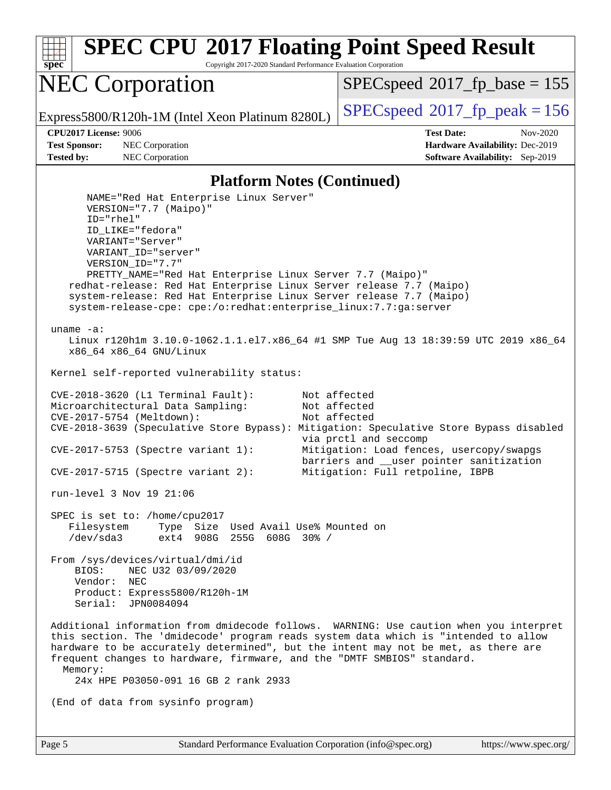**[spec](http://www.spec.org/) [SPEC CPU](http://www.spec.org/auto/cpu2017/Docs/result-fields.html#SPECCPU2017FloatingPointSpeedResult)[2017 Floating Point Speed Result](http://www.spec.org/auto/cpu2017/Docs/result-fields.html#SPECCPU2017FloatingPointSpeedResult)** Copyright 2017-2020 Standard Performance Evaluation Corporation NEC Corporation Express5800/R120h-1M (Intel Xeon Platinum 8280L)  $\vert$  [SPECspeed](http://www.spec.org/auto/cpu2017/Docs/result-fields.html#SPECspeed2017fppeak)®[2017\\_fp\\_peak = 1](http://www.spec.org/auto/cpu2017/Docs/result-fields.html#SPECspeed2017fppeak)56  $SPEC speed^{\circ}2017\_fp\_base = 155$ **[CPU2017 License:](http://www.spec.org/auto/cpu2017/Docs/result-fields.html#CPU2017License)** 9006 **[Test Date:](http://www.spec.org/auto/cpu2017/Docs/result-fields.html#TestDate)** Nov-2020 **[Test Sponsor:](http://www.spec.org/auto/cpu2017/Docs/result-fields.html#TestSponsor)** NEC Corporation **[Hardware Availability:](http://www.spec.org/auto/cpu2017/Docs/result-fields.html#HardwareAvailability)** Dec-2019 **[Tested by:](http://www.spec.org/auto/cpu2017/Docs/result-fields.html#Testedby)** NEC Corporation **[Software Availability:](http://www.spec.org/auto/cpu2017/Docs/result-fields.html#SoftwareAvailability)** Sep-2019 **[Platform Notes \(Continued\)](http://www.spec.org/auto/cpu2017/Docs/result-fields.html#PlatformNotes)** NAME="Red Hat Enterprise Linux Server" VERSION="7.7 (Maipo)" ID="rhel" ID\_LIKE="fedora" VARIANT="Server" VARIANT\_ID="server" VERSION\_ID="7.7" PRETTY\_NAME="Red Hat Enterprise Linux Server 7.7 (Maipo)" redhat-release: Red Hat Enterprise Linux Server release 7.7 (Maipo) system-release: Red Hat Enterprise Linux Server release 7.7 (Maipo) system-release-cpe: cpe:/o:redhat:enterprise\_linux:7.7:ga:server uname -a: Linux r120h1m 3.10.0-1062.1.1.el7.x86\_64 #1 SMP Tue Aug 13 18:39:59 UTC 2019 x86\_64 x86\_64 x86\_64 GNU/Linux Kernel self-reported vulnerability status: CVE-2018-3620 (L1 Terminal Fault): Not affected Microarchitectural Data Sampling: Not affected CVE-2017-5754 (Meltdown): Not affected CVE-2018-3639 (Speculative Store Bypass): Mitigation: Speculative Store Bypass disabled via prctl and seccomp CVE-2017-5753 (Spectre variant 1): Mitigation: Load fences, usercopy/swapgs barriers and \_\_user pointer sanitization CVE-2017-5715 (Spectre variant 2): Mitigation: Full retpoline, IBPB run-level 3 Nov 19 21:06 SPEC is set to: /home/cpu2017<br>Filesystem Type Size Type Size Used Avail Use% Mounted on /dev/sda3 ext4 908G 255G 608G 30% / From /sys/devices/virtual/dmi/id BIOS: NEC U32 03/09/2020 Vendor: NEC Product: Express5800/R120h-1M Serial: JPN0084094 Additional information from dmidecode follows. WARNING: Use caution when you interpret

 this section. The 'dmidecode' program reads system data which is "intended to allow hardware to be accurately determined", but the intent may not be met, as there are frequent changes to hardware, firmware, and the "DMTF SMBIOS" standard. Memory:

24x HPE P03050-091 16 GB 2 rank 2933

(End of data from sysinfo program)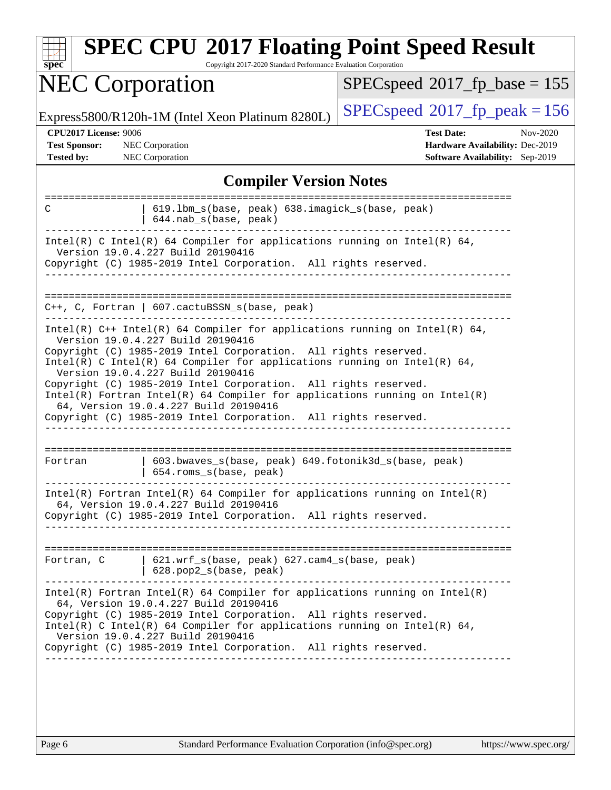| <b>SPEC CPU®2017 Floating Point Speed Result</b><br>Copyright 2017-2020 Standard Performance Evaluation Corporation<br>$spec^*$                                                                                                                                                                                                                                                                                                                                                                                                                                      |                                                                                                            |  |  |  |  |
|----------------------------------------------------------------------------------------------------------------------------------------------------------------------------------------------------------------------------------------------------------------------------------------------------------------------------------------------------------------------------------------------------------------------------------------------------------------------------------------------------------------------------------------------------------------------|------------------------------------------------------------------------------------------------------------|--|--|--|--|
| <b>NEC Corporation</b>                                                                                                                                                                                                                                                                                                                                                                                                                                                                                                                                               | $SPEC speed^{\circ}2017$ fp base = 155                                                                     |  |  |  |  |
| Express5800/R120h-1M (Intel Xeon Platinum 8280L)                                                                                                                                                                                                                                                                                                                                                                                                                                                                                                                     | $SPEC speed^{\circ}2017$ fp peak = 156                                                                     |  |  |  |  |
| CPU2017 License: 9006<br><b>Test Sponsor:</b><br><b>NEC</b> Corporation<br>NEC Corporation<br><b>Tested by:</b>                                                                                                                                                                                                                                                                                                                                                                                                                                                      | <b>Test Date:</b><br>Nov-2020<br>Hardware Availability: Dec-2019<br><b>Software Availability:</b> Sep-2019 |  |  |  |  |
| <b>Compiler Version Notes</b>                                                                                                                                                                                                                                                                                                                                                                                                                                                                                                                                        |                                                                                                            |  |  |  |  |
| 619.1bm_s(base, peak) 638.imagick_s(base, peak)<br>C<br>644.nab_s(base, peak)                                                                                                                                                                                                                                                                                                                                                                                                                                                                                        | =======================                                                                                    |  |  |  |  |
| Intel(R) C Intel(R) 64 Compiler for applications running on Intel(R) 64,<br>Version 19.0.4.227 Build 20190416<br>Copyright (C) 1985-2019 Intel Corporation. All rights reserved.                                                                                                                                                                                                                                                                                                                                                                                     |                                                                                                            |  |  |  |  |
| C++, C, Fortran   607.cactuBSSN_s(base, peak)                                                                                                                                                                                                                                                                                                                                                                                                                                                                                                                        |                                                                                                            |  |  |  |  |
| Intel(R) $C++$ Intel(R) 64 Compiler for applications running on Intel(R) 64,<br>Version 19.0.4.227 Build 20190416<br>Copyright (C) 1985-2019 Intel Corporation. All rights reserved.<br>Intel(R) C Intel(R) 64 Compiler for applications running on Intel(R) 64,<br>Version 19.0.4.227 Build 20190416<br>Copyright (C) 1985-2019 Intel Corporation. All rights reserved.<br>$Intel(R)$ Fortran Intel(R) 64 Compiler for applications running on Intel(R)<br>64, Version 19.0.4.227 Build 20190416<br>Copyright (C) 1985-2019 Intel Corporation. All rights reserved. |                                                                                                            |  |  |  |  |
| 603.bwaves_s(base, peak) 649.fotonik3d_s(base, peak)<br>Fortran<br>654.roms_s(base, peak)                                                                                                                                                                                                                                                                                                                                                                                                                                                                            |                                                                                                            |  |  |  |  |
| $Intel(R)$ Fortran Intel(R) 64 Compiler for applications running on Intel(R)<br>64, Version 19.0.4.227 Build 20190416<br>Copyright (C) 1985-2019 Intel Corporation. All rights reserved.                                                                                                                                                                                                                                                                                                                                                                             |                                                                                                            |  |  |  |  |
| Fortran, C [621.wrf_s(base, peak) 627.cam4_s(base, peak)<br>$  628.pop2_s(base, peak)$                                                                                                                                                                                                                                                                                                                                                                                                                                                                               |                                                                                                            |  |  |  |  |
| $Intel(R)$ Fortran Intel(R) 64 Compiler for applications running on Intel(R)<br>64, Version 19.0.4.227 Build 20190416<br>Copyright (C) 1985-2019 Intel Corporation. All rights reserved.<br>Intel(R) C Intel(R) 64 Compiler for applications running on Intel(R) 64,<br>Version 19.0.4.227 Build 20190416<br>Copyright (C) 1985-2019 Intel Corporation. All rights reserved.                                                                                                                                                                                         |                                                                                                            |  |  |  |  |
|                                                                                                                                                                                                                                                                                                                                                                                                                                                                                                                                                                      |                                                                                                            |  |  |  |  |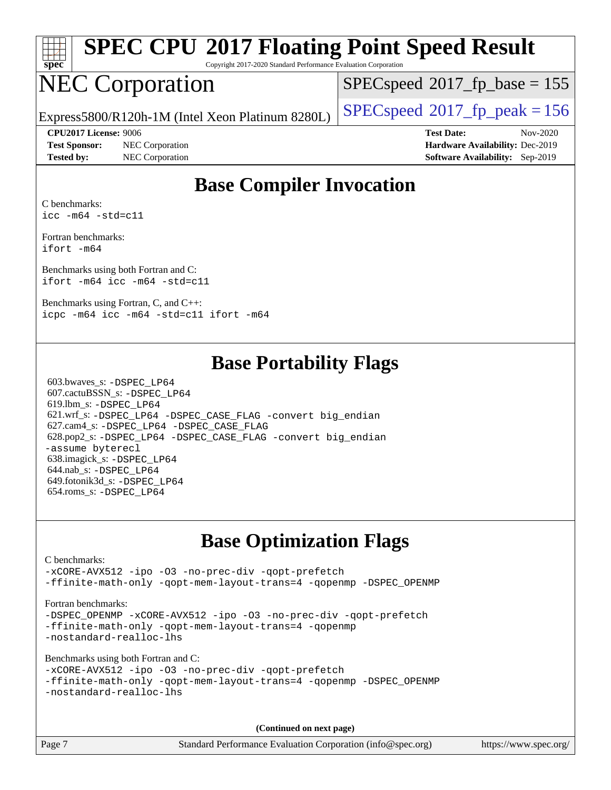

Copyright 2017-2020 Standard Performance Evaluation Corporation

# NEC Corporation

[SPECspeed](http://www.spec.org/auto/cpu2017/Docs/result-fields.html#SPECspeed2017fpbase)<sup>®</sup>2017 fp base = 155

Express5800/R120h-1M (Intel Xeon Platinum 8280L)  $\left|$  [SPECspeed](http://www.spec.org/auto/cpu2017/Docs/result-fields.html#SPECspeed2017fppeak)®[2017\\_fp\\_peak = 1](http://www.spec.org/auto/cpu2017/Docs/result-fields.html#SPECspeed2017fppeak)56

**[Test Sponsor:](http://www.spec.org/auto/cpu2017/Docs/result-fields.html#TestSponsor)** NEC Corporation **[Hardware Availability:](http://www.spec.org/auto/cpu2017/Docs/result-fields.html#HardwareAvailability)** Dec-2019 **[Tested by:](http://www.spec.org/auto/cpu2017/Docs/result-fields.html#Testedby)** NEC Corporation **[Software Availability:](http://www.spec.org/auto/cpu2017/Docs/result-fields.html#SoftwareAvailability)** Sep-2019

**[CPU2017 License:](http://www.spec.org/auto/cpu2017/Docs/result-fields.html#CPU2017License)** 9006 **[Test Date:](http://www.spec.org/auto/cpu2017/Docs/result-fields.html#TestDate)** Nov-2020

## **[Base Compiler Invocation](http://www.spec.org/auto/cpu2017/Docs/result-fields.html#BaseCompilerInvocation)**

[C benchmarks:](http://www.spec.org/auto/cpu2017/Docs/result-fields.html#Cbenchmarks) [icc -m64 -std=c11](http://www.spec.org/cpu2017/results/res2020q4/cpu2017-20201123-24438.flags.html#user_CCbase_intel_icc_64bit_c11_33ee0cdaae7deeeab2a9725423ba97205ce30f63b9926c2519791662299b76a0318f32ddfffdc46587804de3178b4f9328c46fa7c2b0cd779d7a61945c91cd35)

[Fortran benchmarks](http://www.spec.org/auto/cpu2017/Docs/result-fields.html#Fortranbenchmarks): [ifort -m64](http://www.spec.org/cpu2017/results/res2020q4/cpu2017-20201123-24438.flags.html#user_FCbase_intel_ifort_64bit_24f2bb282fbaeffd6157abe4f878425411749daecae9a33200eee2bee2fe76f3b89351d69a8130dd5949958ce389cf37ff59a95e7a40d588e8d3a57e0c3fd751)

[Benchmarks using both Fortran and C:](http://www.spec.org/auto/cpu2017/Docs/result-fields.html#BenchmarksusingbothFortranandC) [ifort -m64](http://www.spec.org/cpu2017/results/res2020q4/cpu2017-20201123-24438.flags.html#user_CC_FCbase_intel_ifort_64bit_24f2bb282fbaeffd6157abe4f878425411749daecae9a33200eee2bee2fe76f3b89351d69a8130dd5949958ce389cf37ff59a95e7a40d588e8d3a57e0c3fd751) [icc -m64 -std=c11](http://www.spec.org/cpu2017/results/res2020q4/cpu2017-20201123-24438.flags.html#user_CC_FCbase_intel_icc_64bit_c11_33ee0cdaae7deeeab2a9725423ba97205ce30f63b9926c2519791662299b76a0318f32ddfffdc46587804de3178b4f9328c46fa7c2b0cd779d7a61945c91cd35)

[Benchmarks using Fortran, C, and C++:](http://www.spec.org/auto/cpu2017/Docs/result-fields.html#BenchmarksusingFortranCandCXX) [icpc -m64](http://www.spec.org/cpu2017/results/res2020q4/cpu2017-20201123-24438.flags.html#user_CC_CXX_FCbase_intel_icpc_64bit_4ecb2543ae3f1412ef961e0650ca070fec7b7afdcd6ed48761b84423119d1bf6bdf5cad15b44d48e7256388bc77273b966e5eb805aefd121eb22e9299b2ec9d9) [icc -m64 -std=c11](http://www.spec.org/cpu2017/results/res2020q4/cpu2017-20201123-24438.flags.html#user_CC_CXX_FCbase_intel_icc_64bit_c11_33ee0cdaae7deeeab2a9725423ba97205ce30f63b9926c2519791662299b76a0318f32ddfffdc46587804de3178b4f9328c46fa7c2b0cd779d7a61945c91cd35) [ifort -m64](http://www.spec.org/cpu2017/results/res2020q4/cpu2017-20201123-24438.flags.html#user_CC_CXX_FCbase_intel_ifort_64bit_24f2bb282fbaeffd6157abe4f878425411749daecae9a33200eee2bee2fe76f3b89351d69a8130dd5949958ce389cf37ff59a95e7a40d588e8d3a57e0c3fd751)

## **[Base Portability Flags](http://www.spec.org/auto/cpu2017/Docs/result-fields.html#BasePortabilityFlags)**

 603.bwaves\_s: [-DSPEC\\_LP64](http://www.spec.org/cpu2017/results/res2020q4/cpu2017-20201123-24438.flags.html#suite_basePORTABILITY603_bwaves_s_DSPEC_LP64) 607.cactuBSSN\_s: [-DSPEC\\_LP64](http://www.spec.org/cpu2017/results/res2020q4/cpu2017-20201123-24438.flags.html#suite_basePORTABILITY607_cactuBSSN_s_DSPEC_LP64) 619.lbm\_s: [-DSPEC\\_LP64](http://www.spec.org/cpu2017/results/res2020q4/cpu2017-20201123-24438.flags.html#suite_basePORTABILITY619_lbm_s_DSPEC_LP64) 621.wrf\_s: [-DSPEC\\_LP64](http://www.spec.org/cpu2017/results/res2020q4/cpu2017-20201123-24438.flags.html#suite_basePORTABILITY621_wrf_s_DSPEC_LP64) [-DSPEC\\_CASE\\_FLAG](http://www.spec.org/cpu2017/results/res2020q4/cpu2017-20201123-24438.flags.html#b621.wrf_s_baseCPORTABILITY_DSPEC_CASE_FLAG) [-convert big\\_endian](http://www.spec.org/cpu2017/results/res2020q4/cpu2017-20201123-24438.flags.html#user_baseFPORTABILITY621_wrf_s_convert_big_endian_c3194028bc08c63ac5d04de18c48ce6d347e4e562e8892b8bdbdc0214820426deb8554edfa529a3fb25a586e65a3d812c835984020483e7e73212c4d31a38223) 627.cam4\_s: [-DSPEC\\_LP64](http://www.spec.org/cpu2017/results/res2020q4/cpu2017-20201123-24438.flags.html#suite_basePORTABILITY627_cam4_s_DSPEC_LP64) [-DSPEC\\_CASE\\_FLAG](http://www.spec.org/cpu2017/results/res2020q4/cpu2017-20201123-24438.flags.html#b627.cam4_s_baseCPORTABILITY_DSPEC_CASE_FLAG) 628.pop2\_s: [-DSPEC\\_LP64](http://www.spec.org/cpu2017/results/res2020q4/cpu2017-20201123-24438.flags.html#suite_basePORTABILITY628_pop2_s_DSPEC_LP64) [-DSPEC\\_CASE\\_FLAG](http://www.spec.org/cpu2017/results/res2020q4/cpu2017-20201123-24438.flags.html#b628.pop2_s_baseCPORTABILITY_DSPEC_CASE_FLAG) [-convert big\\_endian](http://www.spec.org/cpu2017/results/res2020q4/cpu2017-20201123-24438.flags.html#user_baseFPORTABILITY628_pop2_s_convert_big_endian_c3194028bc08c63ac5d04de18c48ce6d347e4e562e8892b8bdbdc0214820426deb8554edfa529a3fb25a586e65a3d812c835984020483e7e73212c4d31a38223) [-assume byterecl](http://www.spec.org/cpu2017/results/res2020q4/cpu2017-20201123-24438.flags.html#user_baseFPORTABILITY628_pop2_s_assume_byterecl_7e47d18b9513cf18525430bbf0f2177aa9bf368bc7a059c09b2c06a34b53bd3447c950d3f8d6c70e3faf3a05c8557d66a5798b567902e8849adc142926523472) 638.imagick\_s: [-DSPEC\\_LP64](http://www.spec.org/cpu2017/results/res2020q4/cpu2017-20201123-24438.flags.html#suite_basePORTABILITY638_imagick_s_DSPEC_LP64) 644.nab\_s: [-DSPEC\\_LP64](http://www.spec.org/cpu2017/results/res2020q4/cpu2017-20201123-24438.flags.html#suite_basePORTABILITY644_nab_s_DSPEC_LP64) 649.fotonik3d\_s: [-DSPEC\\_LP64](http://www.spec.org/cpu2017/results/res2020q4/cpu2017-20201123-24438.flags.html#suite_basePORTABILITY649_fotonik3d_s_DSPEC_LP64) 654.roms\_s: [-DSPEC\\_LP64](http://www.spec.org/cpu2017/results/res2020q4/cpu2017-20201123-24438.flags.html#suite_basePORTABILITY654_roms_s_DSPEC_LP64)

## **[Base Optimization Flags](http://www.spec.org/auto/cpu2017/Docs/result-fields.html#BaseOptimizationFlags)**

#### [C benchmarks](http://www.spec.org/auto/cpu2017/Docs/result-fields.html#Cbenchmarks): [-xCORE-AVX512](http://www.spec.org/cpu2017/results/res2020q4/cpu2017-20201123-24438.flags.html#user_CCbase_f-xCORE-AVX512) [-ipo](http://www.spec.org/cpu2017/results/res2020q4/cpu2017-20201123-24438.flags.html#user_CCbase_f-ipo) [-O3](http://www.spec.org/cpu2017/results/res2020q4/cpu2017-20201123-24438.flags.html#user_CCbase_f-O3) [-no-prec-div](http://www.spec.org/cpu2017/results/res2020q4/cpu2017-20201123-24438.flags.html#user_CCbase_f-no-prec-div) [-qopt-prefetch](http://www.spec.org/cpu2017/results/res2020q4/cpu2017-20201123-24438.flags.html#user_CCbase_f-qopt-prefetch) [-ffinite-math-only](http://www.spec.org/cpu2017/results/res2020q4/cpu2017-20201123-24438.flags.html#user_CCbase_f_finite_math_only_cb91587bd2077682c4b38af759c288ed7c732db004271a9512da14a4f8007909a5f1427ecbf1a0fb78ff2a814402c6114ac565ca162485bbcae155b5e4258871) [-qopt-mem-layout-trans=4](http://www.spec.org/cpu2017/results/res2020q4/cpu2017-20201123-24438.flags.html#user_CCbase_f-qopt-mem-layout-trans_fa39e755916c150a61361b7846f310bcdf6f04e385ef281cadf3647acec3f0ae266d1a1d22d972a7087a248fd4e6ca390a3634700869573d231a252c784941a8) [-qopenmp](http://www.spec.org/cpu2017/results/res2020q4/cpu2017-20201123-24438.flags.html#user_CCbase_qopenmp_16be0c44f24f464004c6784a7acb94aca937f053568ce72f94b139a11c7c168634a55f6653758ddd83bcf7b8463e8028bb0b48b77bcddc6b78d5d95bb1df2967) [-DSPEC\\_OPENMP](http://www.spec.org/cpu2017/results/res2020q4/cpu2017-20201123-24438.flags.html#suite_CCbase_DSPEC_OPENMP) [Fortran benchmarks](http://www.spec.org/auto/cpu2017/Docs/result-fields.html#Fortranbenchmarks): -DSPEC OPENMP [-xCORE-AVX512](http://www.spec.org/cpu2017/results/res2020q4/cpu2017-20201123-24438.flags.html#user_FCbase_f-xCORE-AVX512) [-ipo](http://www.spec.org/cpu2017/results/res2020q4/cpu2017-20201123-24438.flags.html#user_FCbase_f-ipo) [-O3](http://www.spec.org/cpu2017/results/res2020q4/cpu2017-20201123-24438.flags.html#user_FCbase_f-O3) [-no-prec-div](http://www.spec.org/cpu2017/results/res2020q4/cpu2017-20201123-24438.flags.html#user_FCbase_f-no-prec-div) [-qopt-prefetch](http://www.spec.org/cpu2017/results/res2020q4/cpu2017-20201123-24438.flags.html#user_FCbase_f-qopt-prefetch) [-ffinite-math-only](http://www.spec.org/cpu2017/results/res2020q4/cpu2017-20201123-24438.flags.html#user_FCbase_f_finite_math_only_cb91587bd2077682c4b38af759c288ed7c732db004271a9512da14a4f8007909a5f1427ecbf1a0fb78ff2a814402c6114ac565ca162485bbcae155b5e4258871) [-qopt-mem-layout-trans=4](http://www.spec.org/cpu2017/results/res2020q4/cpu2017-20201123-24438.flags.html#user_FCbase_f-qopt-mem-layout-trans_fa39e755916c150a61361b7846f310bcdf6f04e385ef281cadf3647acec3f0ae266d1a1d22d972a7087a248fd4e6ca390a3634700869573d231a252c784941a8) [-qopenmp](http://www.spec.org/cpu2017/results/res2020q4/cpu2017-20201123-24438.flags.html#user_FCbase_qopenmp_16be0c44f24f464004c6784a7acb94aca937f053568ce72f94b139a11c7c168634a55f6653758ddd83bcf7b8463e8028bb0b48b77bcddc6b78d5d95bb1df2967) [-nostandard-realloc-lhs](http://www.spec.org/cpu2017/results/res2020q4/cpu2017-20201123-24438.flags.html#user_FCbase_f_2003_std_realloc_82b4557e90729c0f113870c07e44d33d6f5a304b4f63d4c15d2d0f1fab99f5daaed73bdb9275d9ae411527f28b936061aa8b9c8f2d63842963b95c9dd6426b8a) [Benchmarks using both Fortran and C](http://www.spec.org/auto/cpu2017/Docs/result-fields.html#BenchmarksusingbothFortranandC): [-xCORE-AVX512](http://www.spec.org/cpu2017/results/res2020q4/cpu2017-20201123-24438.flags.html#user_CC_FCbase_f-xCORE-AVX512) [-ipo](http://www.spec.org/cpu2017/results/res2020q4/cpu2017-20201123-24438.flags.html#user_CC_FCbase_f-ipo) [-O3](http://www.spec.org/cpu2017/results/res2020q4/cpu2017-20201123-24438.flags.html#user_CC_FCbase_f-O3) [-no-prec-div](http://www.spec.org/cpu2017/results/res2020q4/cpu2017-20201123-24438.flags.html#user_CC_FCbase_f-no-prec-div) [-qopt-prefetch](http://www.spec.org/cpu2017/results/res2020q4/cpu2017-20201123-24438.flags.html#user_CC_FCbase_f-qopt-prefetch) [-ffinite-math-only](http://www.spec.org/cpu2017/results/res2020q4/cpu2017-20201123-24438.flags.html#user_CC_FCbase_f_finite_math_only_cb91587bd2077682c4b38af759c288ed7c732db004271a9512da14a4f8007909a5f1427ecbf1a0fb78ff2a814402c6114ac565ca162485bbcae155b5e4258871) [-qopt-mem-layout-trans=4](http://www.spec.org/cpu2017/results/res2020q4/cpu2017-20201123-24438.flags.html#user_CC_FCbase_f-qopt-mem-layout-trans_fa39e755916c150a61361b7846f310bcdf6f04e385ef281cadf3647acec3f0ae266d1a1d22d972a7087a248fd4e6ca390a3634700869573d231a252c784941a8) [-qopenmp](http://www.spec.org/cpu2017/results/res2020q4/cpu2017-20201123-24438.flags.html#user_CC_FCbase_qopenmp_16be0c44f24f464004c6784a7acb94aca937f053568ce72f94b139a11c7c168634a55f6653758ddd83bcf7b8463e8028bb0b48b77bcddc6b78d5d95bb1df2967) [-DSPEC\\_OPENMP](http://www.spec.org/cpu2017/results/res2020q4/cpu2017-20201123-24438.flags.html#suite_CC_FCbase_DSPEC_OPENMP) [-nostandard-realloc-lhs](http://www.spec.org/cpu2017/results/res2020q4/cpu2017-20201123-24438.flags.html#user_CC_FCbase_f_2003_std_realloc_82b4557e90729c0f113870c07e44d33d6f5a304b4f63d4c15d2d0f1fab99f5daaed73bdb9275d9ae411527f28b936061aa8b9c8f2d63842963b95c9dd6426b8a) **(Continued on next page)**

Page 7 Standard Performance Evaluation Corporation [\(info@spec.org\)](mailto:info@spec.org) <https://www.spec.org/>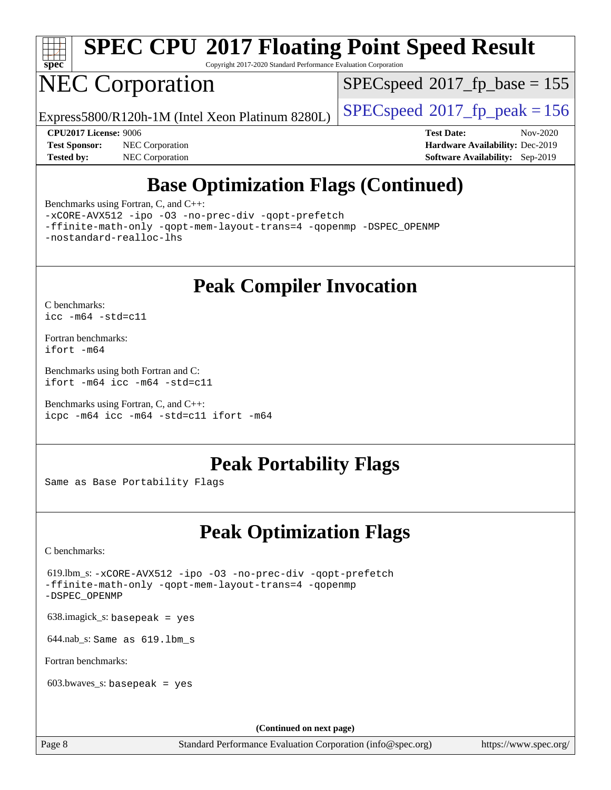

Copyright 2017-2020 Standard Performance Evaluation Corporation

# NEC Corporation

[SPECspeed](http://www.spec.org/auto/cpu2017/Docs/result-fields.html#SPECspeed2017fpbase)<sup>®</sup>2017 fp base = 155

Express5800/R120h-1M (Intel Xeon Platinum 8280L)  $\left|$  [SPECspeed](http://www.spec.org/auto/cpu2017/Docs/result-fields.html#SPECspeed2017fppeak)®[2017\\_fp\\_peak = 1](http://www.spec.org/auto/cpu2017/Docs/result-fields.html#SPECspeed2017fppeak)56

**[Tested by:](http://www.spec.org/auto/cpu2017/Docs/result-fields.html#Testedby)** NEC Corporation **[Software Availability:](http://www.spec.org/auto/cpu2017/Docs/result-fields.html#SoftwareAvailability)** Sep-2019

**[CPU2017 License:](http://www.spec.org/auto/cpu2017/Docs/result-fields.html#CPU2017License)** 9006 **[Test Date:](http://www.spec.org/auto/cpu2017/Docs/result-fields.html#TestDate)** Nov-2020 **[Test Sponsor:](http://www.spec.org/auto/cpu2017/Docs/result-fields.html#TestSponsor)** NEC Corporation **[Hardware Availability:](http://www.spec.org/auto/cpu2017/Docs/result-fields.html#HardwareAvailability)** Dec-2019

# **[Base Optimization Flags \(Continued\)](http://www.spec.org/auto/cpu2017/Docs/result-fields.html#BaseOptimizationFlags)**

[Benchmarks using Fortran, C, and C++:](http://www.spec.org/auto/cpu2017/Docs/result-fields.html#BenchmarksusingFortranCandCXX)

[-xCORE-AVX512](http://www.spec.org/cpu2017/results/res2020q4/cpu2017-20201123-24438.flags.html#user_CC_CXX_FCbase_f-xCORE-AVX512) [-ipo](http://www.spec.org/cpu2017/results/res2020q4/cpu2017-20201123-24438.flags.html#user_CC_CXX_FCbase_f-ipo) [-O3](http://www.spec.org/cpu2017/results/res2020q4/cpu2017-20201123-24438.flags.html#user_CC_CXX_FCbase_f-O3) [-no-prec-div](http://www.spec.org/cpu2017/results/res2020q4/cpu2017-20201123-24438.flags.html#user_CC_CXX_FCbase_f-no-prec-div) [-qopt-prefetch](http://www.spec.org/cpu2017/results/res2020q4/cpu2017-20201123-24438.flags.html#user_CC_CXX_FCbase_f-qopt-prefetch)

[-ffinite-math-only](http://www.spec.org/cpu2017/results/res2020q4/cpu2017-20201123-24438.flags.html#user_CC_CXX_FCbase_f_finite_math_only_cb91587bd2077682c4b38af759c288ed7c732db004271a9512da14a4f8007909a5f1427ecbf1a0fb78ff2a814402c6114ac565ca162485bbcae155b5e4258871) [-qopt-mem-layout-trans=4](http://www.spec.org/cpu2017/results/res2020q4/cpu2017-20201123-24438.flags.html#user_CC_CXX_FCbase_f-qopt-mem-layout-trans_fa39e755916c150a61361b7846f310bcdf6f04e385ef281cadf3647acec3f0ae266d1a1d22d972a7087a248fd4e6ca390a3634700869573d231a252c784941a8) [-qopenmp](http://www.spec.org/cpu2017/results/res2020q4/cpu2017-20201123-24438.flags.html#user_CC_CXX_FCbase_qopenmp_16be0c44f24f464004c6784a7acb94aca937f053568ce72f94b139a11c7c168634a55f6653758ddd83bcf7b8463e8028bb0b48b77bcddc6b78d5d95bb1df2967) [-DSPEC\\_OPENMP](http://www.spec.org/cpu2017/results/res2020q4/cpu2017-20201123-24438.flags.html#suite_CC_CXX_FCbase_DSPEC_OPENMP) [-nostandard-realloc-lhs](http://www.spec.org/cpu2017/results/res2020q4/cpu2017-20201123-24438.flags.html#user_CC_CXX_FCbase_f_2003_std_realloc_82b4557e90729c0f113870c07e44d33d6f5a304b4f63d4c15d2d0f1fab99f5daaed73bdb9275d9ae411527f28b936061aa8b9c8f2d63842963b95c9dd6426b8a)

**[Peak Compiler Invocation](http://www.spec.org/auto/cpu2017/Docs/result-fields.html#PeakCompilerInvocation)**

[C benchmarks](http://www.spec.org/auto/cpu2017/Docs/result-fields.html#Cbenchmarks): [icc -m64 -std=c11](http://www.spec.org/cpu2017/results/res2020q4/cpu2017-20201123-24438.flags.html#user_CCpeak_intel_icc_64bit_c11_33ee0cdaae7deeeab2a9725423ba97205ce30f63b9926c2519791662299b76a0318f32ddfffdc46587804de3178b4f9328c46fa7c2b0cd779d7a61945c91cd35)

[Fortran benchmarks](http://www.spec.org/auto/cpu2017/Docs/result-fields.html#Fortranbenchmarks): [ifort -m64](http://www.spec.org/cpu2017/results/res2020q4/cpu2017-20201123-24438.flags.html#user_FCpeak_intel_ifort_64bit_24f2bb282fbaeffd6157abe4f878425411749daecae9a33200eee2bee2fe76f3b89351d69a8130dd5949958ce389cf37ff59a95e7a40d588e8d3a57e0c3fd751)

[Benchmarks using both Fortran and C](http://www.spec.org/auto/cpu2017/Docs/result-fields.html#BenchmarksusingbothFortranandC): [ifort -m64](http://www.spec.org/cpu2017/results/res2020q4/cpu2017-20201123-24438.flags.html#user_CC_FCpeak_intel_ifort_64bit_24f2bb282fbaeffd6157abe4f878425411749daecae9a33200eee2bee2fe76f3b89351d69a8130dd5949958ce389cf37ff59a95e7a40d588e8d3a57e0c3fd751) [icc -m64 -std=c11](http://www.spec.org/cpu2017/results/res2020q4/cpu2017-20201123-24438.flags.html#user_CC_FCpeak_intel_icc_64bit_c11_33ee0cdaae7deeeab2a9725423ba97205ce30f63b9926c2519791662299b76a0318f32ddfffdc46587804de3178b4f9328c46fa7c2b0cd779d7a61945c91cd35)

[Benchmarks using Fortran, C, and C++:](http://www.spec.org/auto/cpu2017/Docs/result-fields.html#BenchmarksusingFortranCandCXX) [icpc -m64](http://www.spec.org/cpu2017/results/res2020q4/cpu2017-20201123-24438.flags.html#user_CC_CXX_FCpeak_intel_icpc_64bit_4ecb2543ae3f1412ef961e0650ca070fec7b7afdcd6ed48761b84423119d1bf6bdf5cad15b44d48e7256388bc77273b966e5eb805aefd121eb22e9299b2ec9d9) [icc -m64 -std=c11](http://www.spec.org/cpu2017/results/res2020q4/cpu2017-20201123-24438.flags.html#user_CC_CXX_FCpeak_intel_icc_64bit_c11_33ee0cdaae7deeeab2a9725423ba97205ce30f63b9926c2519791662299b76a0318f32ddfffdc46587804de3178b4f9328c46fa7c2b0cd779d7a61945c91cd35) [ifort -m64](http://www.spec.org/cpu2017/results/res2020q4/cpu2017-20201123-24438.flags.html#user_CC_CXX_FCpeak_intel_ifort_64bit_24f2bb282fbaeffd6157abe4f878425411749daecae9a33200eee2bee2fe76f3b89351d69a8130dd5949958ce389cf37ff59a95e7a40d588e8d3a57e0c3fd751)

## **[Peak Portability Flags](http://www.spec.org/auto/cpu2017/Docs/result-fields.html#PeakPortabilityFlags)**

Same as Base Portability Flags

## **[Peak Optimization Flags](http://www.spec.org/auto/cpu2017/Docs/result-fields.html#PeakOptimizationFlags)**

[C benchmarks](http://www.spec.org/auto/cpu2017/Docs/result-fields.html#Cbenchmarks):

 619.lbm\_s: [-xCORE-AVX512](http://www.spec.org/cpu2017/results/res2020q4/cpu2017-20201123-24438.flags.html#user_peakCOPTIMIZE619_lbm_s_f-xCORE-AVX512) [-ipo](http://www.spec.org/cpu2017/results/res2020q4/cpu2017-20201123-24438.flags.html#user_peakCOPTIMIZE619_lbm_s_f-ipo) [-O3](http://www.spec.org/cpu2017/results/res2020q4/cpu2017-20201123-24438.flags.html#user_peakCOPTIMIZE619_lbm_s_f-O3) [-no-prec-div](http://www.spec.org/cpu2017/results/res2020q4/cpu2017-20201123-24438.flags.html#user_peakCOPTIMIZE619_lbm_s_f-no-prec-div) [-qopt-prefetch](http://www.spec.org/cpu2017/results/res2020q4/cpu2017-20201123-24438.flags.html#user_peakCOPTIMIZE619_lbm_s_f-qopt-prefetch) [-ffinite-math-only](http://www.spec.org/cpu2017/results/res2020q4/cpu2017-20201123-24438.flags.html#user_peakCOPTIMIZE619_lbm_s_f_finite_math_only_cb91587bd2077682c4b38af759c288ed7c732db004271a9512da14a4f8007909a5f1427ecbf1a0fb78ff2a814402c6114ac565ca162485bbcae155b5e4258871) [-qopt-mem-layout-trans=4](http://www.spec.org/cpu2017/results/res2020q4/cpu2017-20201123-24438.flags.html#user_peakCOPTIMIZE619_lbm_s_f-qopt-mem-layout-trans_fa39e755916c150a61361b7846f310bcdf6f04e385ef281cadf3647acec3f0ae266d1a1d22d972a7087a248fd4e6ca390a3634700869573d231a252c784941a8) [-qopenmp](http://www.spec.org/cpu2017/results/res2020q4/cpu2017-20201123-24438.flags.html#user_peakCOPTIMIZE619_lbm_s_qopenmp_16be0c44f24f464004c6784a7acb94aca937f053568ce72f94b139a11c7c168634a55f6653758ddd83bcf7b8463e8028bb0b48b77bcddc6b78d5d95bb1df2967) [-DSPEC\\_OPENMP](http://www.spec.org/cpu2017/results/res2020q4/cpu2017-20201123-24438.flags.html#suite_peakCOPTIMIZE619_lbm_s_DSPEC_OPENMP)

638.imagick\_s: basepeak = yes

644.nab\_s: Same as 619.lbm\_s

[Fortran benchmarks](http://www.spec.org/auto/cpu2017/Docs/result-fields.html#Fortranbenchmarks):

603.bwaves\_s: basepeak = yes

**(Continued on next page)**

Page 8 Standard Performance Evaluation Corporation [\(info@spec.org\)](mailto:info@spec.org) <https://www.spec.org/>